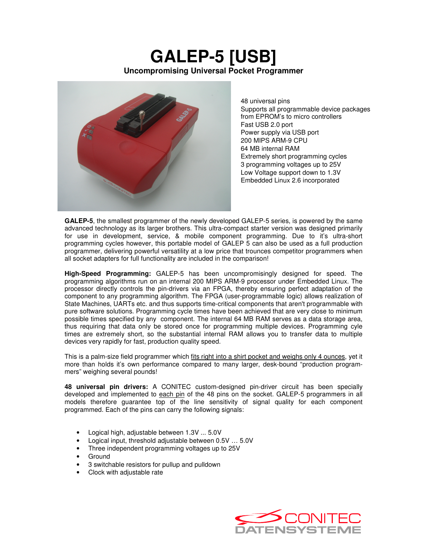## **GALEP-5 [USB] Uncompromising Universal Pocket Programmer**



48 universal pins Supports all programmable device packages from EPROM's to micro controllers • Fast USB 2.0 port • Power supply via USB port • 200 MIPS ARM-9 CPU • 64 MB internal RAM Extremely short programming cycles • 3 programming voltages up to 25V • Low Voltage support down to 1.3V • Embedded Linux 2.6 incorporated

**GALEP-5**, the smallest programmer of the newly developed GALEP-5 series, is powered by the same advanced technology as its larger brothers. This ultra-compact starter version was designed primarily for use in development, service, & mobile component programming. Due to it's ultra-short programming cycles however, this portable model of GALEP 5 can also be used as a full production programmer, delivering powerful versatility at a low price that trounces competitor programmers when all socket adapters for full functionality are included in the comparison!

**High-Speed Programming:** GALEP-5 has been uncompromisingly designed for speed. The programming algorithms run on an internal 200 MIPS ARM-9 processor under Embedded Linux. The processor directly controls the pin-drivers via an FPGA, thereby ensuring perfect adaptation of the component to any programming algorithm. The FPGA (user-programmable logic) allows realization of State Machines, UARTs etc. and thus supports time-critical components that aren't programmable with pure software solutions. Programming cycle times have been achieved that are very close to minimum possible times specified by any component. The internal 64 MB RAM serves as a data storage area, thus requiring that data only be stored once for programming multiple devices. Programming cyle times are extremely short, so the substantial internal RAM allows you to transfer data to multiple devices very rapidly for fast, production quality speed.

This is a palm-size field programmer which fits right into a shirt pocket and weighs only 4 ounces, yet it more than holds it's own performance compared to many larger, desk-bound "production programmers" weighing several pounds!

**48 universal pin drivers:** A CONITEC custom-designed pin-driver circuit has been specially developed and implemented to each pin of the 48 pins on the socket. GALEP-5 programmers in all models therefore guarantee top of the line sensitivity of signal quality for each component programmed. Each of the pins can carry the following signals:

- Logical high, adjustable between 1.3V ... 5.0V
- Logical input, threshold adjustable between 0.5V … 5.0V
- Three independent programming voltages up to 25V
- Ground
- 3 switchable resistors for pullup and pulldown
- Clock with adjustable rate

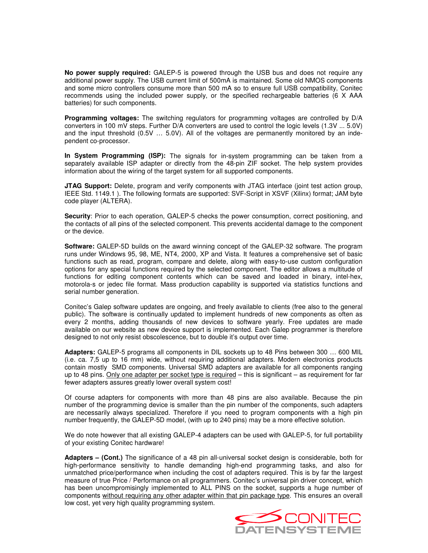**No power supply required:** GALEP-5 is powered through the USB bus and does not require any additional power supply. The USB current limit of 500mA is maintained. Some old NMOS components and some micro controllers consume more than 500 mA so to ensure full USB compatibility, Conitec recommends using the included power supply, or the specified rechargeable batteries (6 X AAA batteries) for such components.

**Programming voltages:** The switching regulators for programming voltages are controlled by D/A converters in 100 mV steps. Further D/A converters are used to control the logic levels (1.3V ... 5.0V) and the input threshold (0.5V … 5.0V). All of the voltages are permanently monitored by an independent co-processor.

**In System Programming (ISP):** The signals for in-system programming can be taken from a separately available ISP adapter or directly from the 48-pin ZIF socket. The help system provides information about the wiring of the target system for all supported components.

**JTAG Support:** Delete, program and verify components with JTAG interface (joint test action group, IEEE Std. 1149.1 ). The following formats are supported: SVF-Script in XSVF (Xilinx) format; JAM byte code player (ALTERA).

**Security**: Prior to each operation, GALEP-5 checks the power consumption, correct positioning, and the contacts of all pins of the selected component. This prevents accidental damage to the component or the device.

**Software:** GALEP-5D builds on the award winning concept of the GALEP-32 software. The program runs under Windows 95, 98, ME, NT4, 2000, XP and Vista. It features a comprehensive set of basic functions such as read, program, compare and delete, along with easy-to-use custom configuration options for any special functions required by the selected component. The editor allows a multitude of functions for editing component contents which can be saved and loaded in binary, intel-hex, motorola-s or jedec file format. Mass production capability is supported via statistics functions and serial number generation.

Conitec's Galep software updates are ongoing, and freely available to clients (free also to the general public). The software is continually updated to implement hundreds of new components as often as every 2 months, adding thousands of new devices to software yearly. Free updates are made available on our website as new device support is implemented. Each Galep programmer is therefore designed to not only resist obscolescence, but to double it's output over time.

**Adapters:** GALEP-5 programs all components in DIL sockets up to 48 Pins between 300 … 600 MIL (i.e. ca. 7,5 up to 16 mm) wide, without requiring additional adapters. Modern electronics products contain mostly SMD components. Universal SMD adapters are available for all components ranging up to 48 pins. Only one adapter per socket type is required – this is significant – as requirement for far fewer adapters assures greatly lower overall system cost!

Of course adapters for components with more than 48 pins are also available. Because the pin number of the programming device is smaller than the pin number of the components, such adapters are necessarily always specialized. Therefore if you need to program components with a high pin number frequently, the GALEP-5D model, (with up to 240 pins) may be a more effective solution.

We do note however that all existing GALEP-4 adapters can be used with GALEP-5, for full portability of your existing Conitec hardware!

**Adapters – (Cont.)** The significance of a 48 pin all-universal socket design is considerable, both for high-performance sensitivity to handle demanding high-end programming tasks, and also for unmatched price/performance when including the cost of adapters required. This is by far the largest measure of true Price / Performance on all programmers. Conitec's universal pin driver concept, which has been uncompromisingly implemented to ALL PINS on the socket, supports a huge number of components without requiring any other adapter within that pin package type. This ensures an overall low cost, yet very high quality programming system.